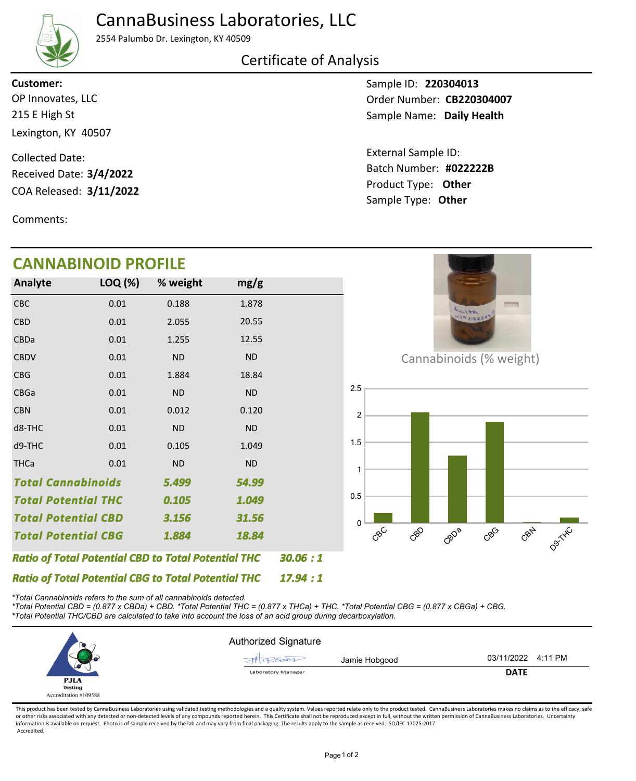# CannaBusiness Laboratories, LLC



2554 Palumbo Dr. Lexington, KY 40509

### Certificate of Analysis

215 E High St Lexington, KY 40507 OP Innovates, LLC **Customer:**

COA Released: 3/11/2022 Collected Date: Received Date: **3/4/2022**

Comments:

# **CANNABINOID PROFILE**

Sample ID: **220304013** Sample Name: Daily Health Order Number: CB220304007

Product Type: **Other 3/11/2022 #022222B** Batch Number: External Sample ID: Sample Type: **Other**

| CANNADINOID PROFILE                                        |           |           |           |  |  |  |  |
|------------------------------------------------------------|-----------|-----------|-----------|--|--|--|--|
| <b>Analyte</b>                                             | LOQ (%)   | % weight  | mg/g      |  |  |  |  |
| CBC                                                        | 0.01      | 0.188     | 1.878     |  |  |  |  |
| <b>CBD</b>                                                 | 0.01      | 2.055     | 20.55     |  |  |  |  |
| <b>CBDa</b>                                                | 0.01      | 1.255     | 12.55     |  |  |  |  |
| <b>CBDV</b>                                                | 0.01      | <b>ND</b> | <b>ND</b> |  |  |  |  |
| <b>CBG</b>                                                 | 0.01      | 1.884     | 18.84     |  |  |  |  |
| <b>CBGa</b>                                                | 0.01      | <b>ND</b> | <b>ND</b> |  |  |  |  |
| <b>CBN</b>                                                 | 0.01      | 0.012     | 0.120     |  |  |  |  |
| d8-THC                                                     | 0.01      | <b>ND</b> | <b>ND</b> |  |  |  |  |
| d9-THC                                                     | 0.01      | 0.105     | 1.049     |  |  |  |  |
| <b>THCa</b>                                                | 0.01      | <b>ND</b> | <b>ND</b> |  |  |  |  |
| <b>Total Cannabinoids</b>                                  |           | 5.499     | 54.99     |  |  |  |  |
| <b>Total Potential THC</b>                                 |           | 0.105     | 1.049     |  |  |  |  |
| <b>Total Potential CBD</b>                                 |           | 3.156     | 31.56     |  |  |  |  |
| <b>Total Potential CBG</b>                                 |           | 1.884     | 18.84     |  |  |  |  |
| <b>Ratio of Total Potential CBD to Total Potential THC</b> | 30.06 : 1 |           |           |  |  |  |  |



Cannabinoids (% weight)



*\*Total Cannabinoids refers to the sum of all cannabinoids detected.*

*Ratio of Total Potential CBG to Total Potential THC*

*\*Total Potential CBD = (0.877 x CBDa) + CBD. \*Total Potential THC = (0.877 x THCa) + THC. \*Total Potential CBG = (0.877 x CBGa) + CBG. \*Total Potential THC/CBD are calculated to take into account the loss of an acid group during decarboxylation.*



*17.94 : 1*

This product has been tested by CannaBusiness Laboratories using validated testing methodologies and a quality system. Values reported relate only to the product tested. CannaBusiness Laboratories makes no claims as to the or other risks associated with any detected or non-detected levels of any compounds reported herein. This Certificate shall not be reproduced except in full, without the written permission of CannaBusiness Laboratories. Un information is available on request. Photo is of sample received by the lab and may vary from final packaging. The results apply to the sample as received. ISO/IEC 17025:2017 Accredited.